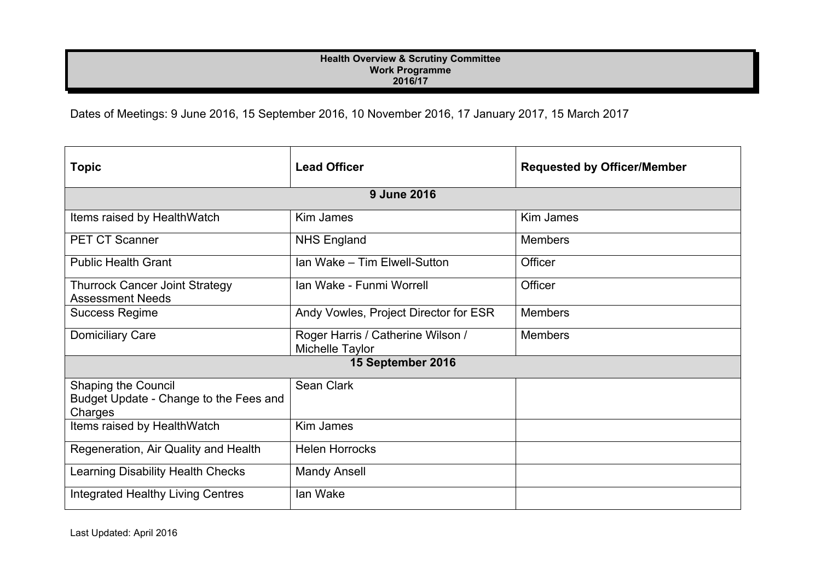## **Health Overview & Scrutiny Committee Work Programme 2016/17**

Dates of Meetings: 9 June 2016, 15 September 2016, 10 November 2016, 17 January 2017, 15 March 2017

| <b>Topic</b>                                                                    | <b>Lead Officer</b>                                  | <b>Requested by Officer/Member</b> |  |
|---------------------------------------------------------------------------------|------------------------------------------------------|------------------------------------|--|
| <b>9 June 2016</b>                                                              |                                                      |                                    |  |
| Items raised by HealthWatch                                                     | Kim James                                            | Kim James                          |  |
| <b>PET CT Scanner</b>                                                           | <b>NHS England</b>                                   | <b>Members</b>                     |  |
| <b>Public Health Grant</b>                                                      | Ian Wake - Tim Elwell-Sutton                         | Officer                            |  |
| <b>Thurrock Cancer Joint Strategy</b><br><b>Assessment Needs</b>                | Ian Wake - Funmi Worrell                             | Officer                            |  |
| <b>Success Regime</b>                                                           | Andy Vowles, Project Director for ESR                | <b>Members</b>                     |  |
| <b>Domiciliary Care</b>                                                         | Roger Harris / Catherine Wilson /<br>Michelle Taylor | <b>Members</b>                     |  |
| 15 September 2016                                                               |                                                      |                                    |  |
| <b>Shaping the Council</b><br>Budget Update - Change to the Fees and<br>Charges | Sean Clark                                           |                                    |  |
| Items raised by HealthWatch                                                     | Kim James                                            |                                    |  |
| Regeneration, Air Quality and Health                                            | <b>Helen Horrocks</b>                                |                                    |  |
| <b>Learning Disability Health Checks</b>                                        | <b>Mandy Ansell</b>                                  |                                    |  |
| Integrated Healthy Living Centres                                               | lan Wake                                             |                                    |  |